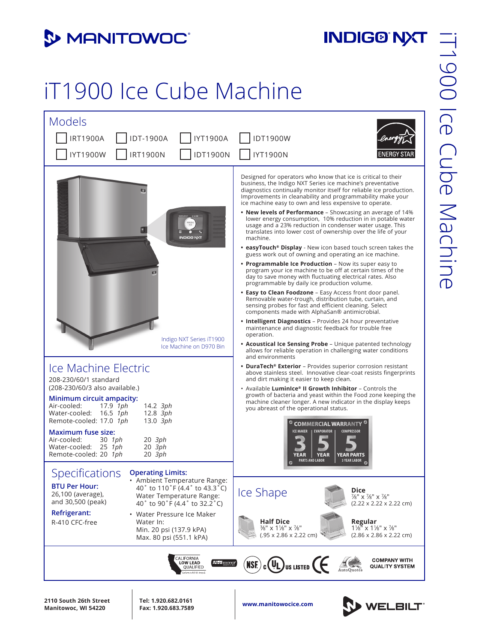## **3 MANITOWOC**

## **INDIG®'NXT**

## iT1900 Ice Cube Machine



**www.manitowocice.com 2110 South 26th Street Manitowoc, WI 54220**

**Tel: 1.920.682.0161 Fax: 1.920.683.7589**